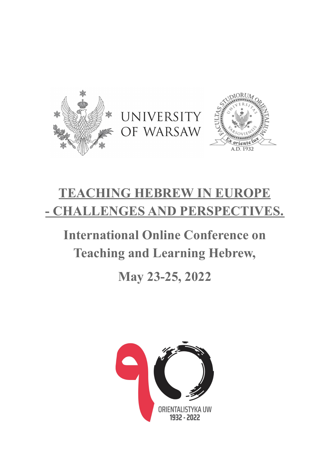





## **TEACHING HEBREW IN EUROPE - CHALLENGES AND PERSPECTIVES.**

# **International Online Conference on Teaching and Learning Hebrew,**

### **May 23-25, 2022**

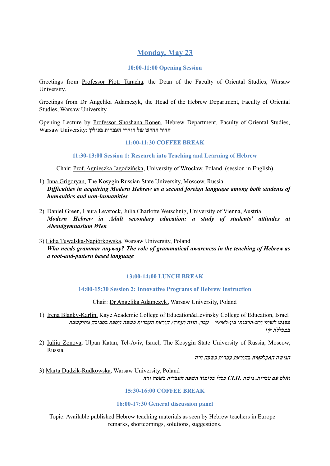#### **Monday, May 23**

#### **10:00-11:00 Opening Session**

Greetings from Professor Piotr Taracha, the Dean of the Faculty of Oriental Studies, Warsaw University.

Greetings from Dr Angelika Adamczyk, the Head of the Hebrew Department, Faculty of Oriental Studies, Warsaw University.

Opening Lecture by Professor Shoshana Ronen, Hebrew Department, Faculty of Oriental Studies, **הדור החדש של חוקרי העברית בפולין** :University Warsaw

#### **11:00-11:30 COFFEE BREAK**

**11:30-13:00 Session 1: Research into Teaching and Learning of Hebrew**

Chair: Prof. Agnieszka Jagodzińska, University of Wrocław, Poland (session in English)

- 1) Inna Grigoryan, The Kosygin Russian State University, Moscow, Russia *Dif iculties in acquiring Modern Hebrew as a second foreign language among both students of humanities and non-humanities*
- 2) Daniel Green, Laura Levstock, Julia Charlotte Wetschnig, University of Vienna, Austria *Modern Hebrew in Adult secondary education: a study of students' attitudes at Abendgymnasium Wien*
- 3) Lidia Tuwalska-Napiórkowska, Warsaw University, Poland *Who needs grammar anyway? The role of grammatical awareness in the teaching of Hebrew as a root-and-pattern based language*

#### **13:00-14:00 LUNCH BREAK**

**14:00-15:30 Session 2: Innovative Programs of Hebrew Instruction**

Chair: Dr Angelika Adamczyk, Warsaw University, Poland

1) Irena Blanky-Karlin, Kaye Academic College of Education&Levinsky College of Education, Israel *מפגש לשוני ורב-תרבותי בין-לאומי – עבר, הווה ועתיד: הוראת העברית כשפה נוספת בסביבה מתוקשבת במכללת קיי*

2) Iuliia Zonova, Ulpan Katan, Tel-Aviv, Israel; The Kosygin State University of Russia, Moscow, Russia

*הגישה האקלקטית בהוראת עברית כשפה זרה*

3) Marta Dudzik-Rudkowska, Warsaw University, Poland *ואלס עם עברית. גישת CLIL ככלי בלימוד השפה העברית כשפה זרה*

#### **15:30-16:00 COFFEE BREAK**

#### **16:00-17:30 General discussion panel**

Topic: Available published Hebrew teaching materials as seen by Hebrew teachers in Europe – remarks, shortcomings, solutions, suggestions.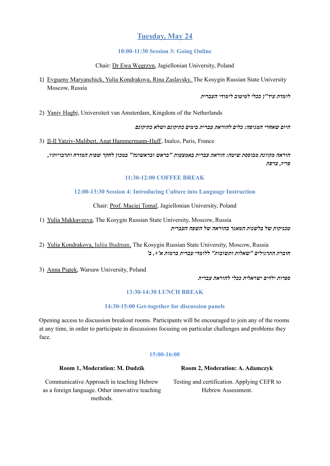#### **Tuesday, May 24**

#### **10:00-11:30 Session 3: Going Online**

#### Chair: Dr Ewa Węgrzyn, Jagiellonian University, Poland

1) Evgueny Maryanchick, Yulia Kondrakova, Rina Zaslavsky, The Kosygin Russian State University Moscow, Russia

#### *לומדת עיד"ן ככלי למיטוב לימודי העברית*

2) Yaniv Hagbi, Universiteit van Amsterdam, Kingdom of the Netherlands

*היום שאחרי המגיפה: כלים להוראת עברית בימים כתיקונם ושלא כתיקונם*

3) Il-Il Yatziv-Malibert, Anat Hammermann-Huff, Inalco, Paris, France

*הוראה מקוונת מבוססת שיטה: הוראת עברית באמצעות "בראש ובראשונה" במכון לחקר שפות המזרח ותרבויותיו, פריז, צרפת*

#### **11:30-12:00 COFFEE BREAK**

#### **12:00-13:30 Session 4: Introducing Culture into Language Instruction**

Chair: Prof. Maciej Tomal, Jagiellonian University, Poland

1) Yulia Makkaveeva, The Kosygin Russian State University, Moscow, Russia *טכניקות של בלשנות המאגר בהוראה של השפה העברית*

2) Yulia Kondrakova, Iuliia Budman, The Kosygin Russian State University, Moscow, Russia *חוברת התרגילים "שאלות ותשובות" ללומדי עברית ברמות א',+ ב'*

3) Anna Piątek, Warsaw University, Poland

*ספרות ילדים ישראלית ככלי להוראת עברית*

#### **13:30-14:30 LUNCH BREAK**

#### **14:30-15:00 Get-together for discussion panels**

Opening access to discussion breakout rooms. Participants will be encouraged to join any of the rooms at any time, in order to participate in discussions focusing on particular challenges and problems they face.

#### **15:00-16:00**

#### **Room 1, Moderation: M. Dudzik Room 2, Moderation: A. Adamczyk**

Communicative Approach in teaching Hebrew as a foreign language. Other innovative teaching methods.

Testing and certification. Applying CEFR to Hebrew Assessment.